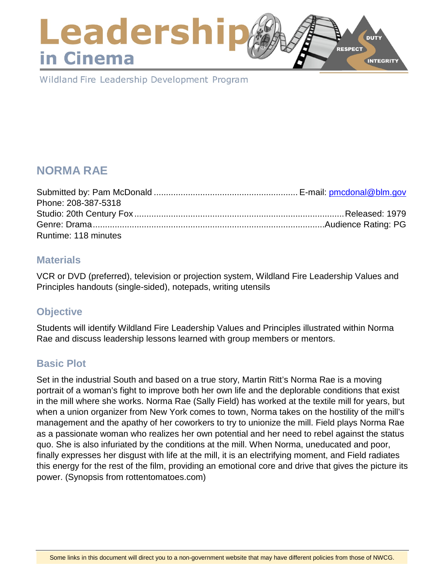### Leadershi **DUTY RESPECT** in Cinema **INTEGRITY**

Wildland Fire Leadership Development Program

# **NORMA RAE**

| Phone: 208-387-5318  |  |
|----------------------|--|
|                      |  |
|                      |  |
| Runtime: 118 minutes |  |

### **Materials**

VCR or DVD (preferred), television or projection system, Wildland Fire Leadership Values and Principles handouts (single-sided), notepads, writing utensils

## **Objective**

Students will identify Wildland Fire Leadership Values and Principles illustrated within Norma Rae and discuss leadership lessons learned with group members or mentors.

## **Basic Plot**

Set in the industrial South and based on a true story, Martin Ritt's Norma Rae is a moving portrait of a woman's fight to improve both her own life and the deplorable conditions that exist in the mill where she works. Norma Rae (Sally Field) has worked at the textile mill for years, but when a union organizer from New York comes to town, Norma takes on the hostility of the mill's management and the apathy of her coworkers to try to unionize the mill. Field plays Norma Rae as a passionate woman who realizes her own potential and her need to rebel against the status quo. She is also infuriated by the conditions at the mill. When Norma, uneducated and poor, finally expresses her disgust with life at the mill, it is an electrifying moment, and Field radiates this energy for the rest of the film, providing an emotional core and drive that gives the picture its power. (Synopsis from rottentomatoes.com)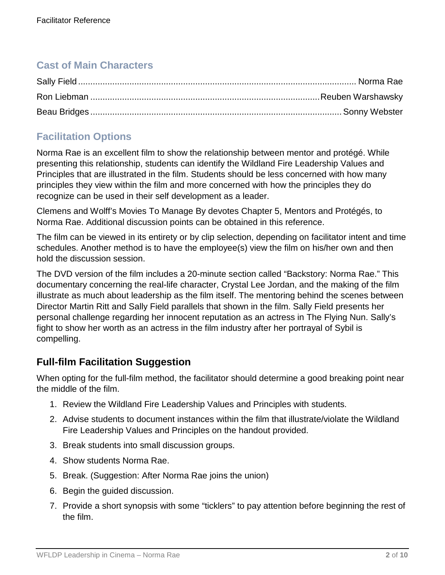## **Cast of Main Characters**

## **Facilitation Options**

Norma Rae is an excellent film to show the relationship between mentor and protégé. While presenting this relationship, students can identify the Wildland Fire Leadership Values and Principles that are illustrated in the film. Students should be less concerned with how many principles they view within the film and more concerned with how the principles they do recognize can be used in their self development as a leader.

Clemens and Wolff's Movies To Manage By devotes Chapter 5, Mentors and Protégés, to Norma Rae. Additional discussion points can be obtained in this reference.

The film can be viewed in its entirety or by clip selection, depending on facilitator intent and time schedules. Another method is to have the employee(s) view the film on his/her own and then hold the discussion session.

The DVD version of the film includes a 20-minute section called "Backstory: Norma Rae." This documentary concerning the real-life character, Crystal Lee Jordan, and the making of the film illustrate as much about leadership as the film itself. The mentoring behind the scenes between Director Martin Ritt and Sally Field parallels that shown in the film. Sally Field presents her personal challenge regarding her innocent reputation as an actress in The Flying Nun. Sally's fight to show her worth as an actress in the film industry after her portrayal of Sybil is compelling.

## **Full-film Facilitation Suggestion**

When opting for the full-film method, the facilitator should determine a good breaking point near the middle of the film.

- 1. Review the Wildland Fire Leadership Values and Principles with students.
- 2. Advise students to document instances within the film that illustrate/violate the Wildland Fire Leadership Values and Principles on the handout provided.
- 3. Break students into small discussion groups.
- 4. Show students Norma Rae.
- 5. Break. (Suggestion: After Norma Rae joins the union)
- 6. Begin the guided discussion.
- 7. Provide a short synopsis with some "ticklers" to pay attention before beginning the rest of the film.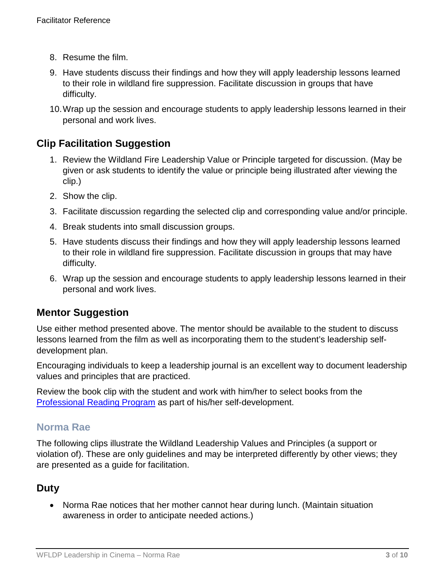- 8. Resume the film.
- 9. Have students discuss their findings and how they will apply leadership lessons learned to their role in wildland fire suppression. Facilitate discussion in groups that have difficulty.
- 10.Wrap up the session and encourage students to apply leadership lessons learned in their personal and work lives.

### **Clip Facilitation Suggestion**

- 1. Review the Wildland Fire Leadership Value or Principle targeted for discussion. (May be given or ask students to identify the value or principle being illustrated after viewing the clip.)
- 2. Show the clip.
- 3. Facilitate discussion regarding the selected clip and corresponding value and/or principle.
- 4. Break students into small discussion groups.
- 5. Have students discuss their findings and how they will apply leadership lessons learned to their role in wildland fire suppression. Facilitate discussion in groups that may have difficulty.
- 6. Wrap up the session and encourage students to apply leadership lessons learned in their personal and work lives.

### **Mentor Suggestion**

Use either method presented above. The mentor should be available to the student to discuss lessons learned from the film as well as incorporating them to the student's leadership selfdevelopment plan.

Encouraging individuals to keep a leadership journal is an excellent way to document leadership values and principles that are practiced.

Review the book clip with the student and work with him/her to select books from the [Professional Reading Program](https://www.fireleadership.gov/index.html) as part of his/her self-development.

### **Norma Rae**

The following clips illustrate the Wildland Leadership Values and Principles (a support or violation of). These are only guidelines and may be interpreted differently by other views; they are presented as a guide for facilitation.

## **Duty**

• Norma Rae notices that her mother cannot hear during lunch. (Maintain situation awareness in order to anticipate needed actions.)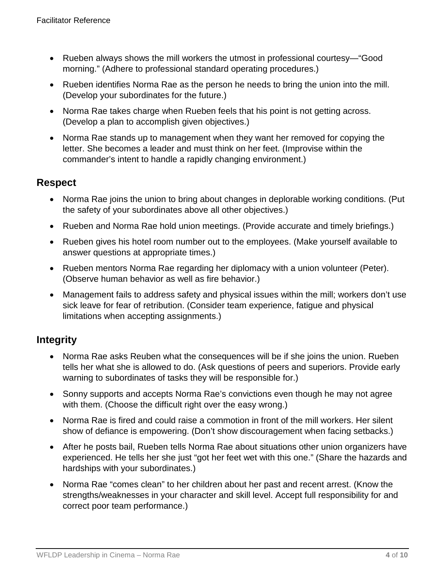- Rueben always shows the mill workers the utmost in professional courtesy—"Good morning." (Adhere to professional standard operating procedures.)
- Rueben identifies Norma Rae as the person he needs to bring the union into the mill. (Develop your subordinates for the future.)
- Norma Rae takes charge when Rueben feels that his point is not getting across. (Develop a plan to accomplish given objectives.)
- Norma Rae stands up to management when they want her removed for copying the letter. She becomes a leader and must think on her feet. (Improvise within the commander's intent to handle a rapidly changing environment.)

## **Respect**

- Norma Rae joins the union to bring about changes in deplorable working conditions. (Put the safety of your subordinates above all other objectives.)
- Rueben and Norma Rae hold union meetings. (Provide accurate and timely briefings.)
- Rueben gives his hotel room number out to the employees. (Make yourself available to answer questions at appropriate times.)
- Rueben mentors Norma Rae regarding her diplomacy with a union volunteer (Peter). (Observe human behavior as well as fire behavior.)
- Management fails to address safety and physical issues within the mill; workers don't use sick leave for fear of retribution. (Consider team experience, fatigue and physical limitations when accepting assignments.)

## **Integrity**

- Norma Rae asks Reuben what the consequences will be if she joins the union. Rueben tells her what she is allowed to do. (Ask questions of peers and superiors. Provide early warning to subordinates of tasks they will be responsible for.)
- Sonny supports and accepts Norma Rae's convictions even though he may not agree with them. (Choose the difficult right over the easy wrong.)
- Norma Rae is fired and could raise a commotion in front of the mill workers. Her silent show of defiance is empowering. (Don't show discouragement when facing setbacks.)
- After he posts bail, Rueben tells Norma Rae about situations other union organizers have experienced. He tells her she just "got her feet wet with this one." (Share the hazards and hardships with your subordinates.)
- Norma Rae "comes clean" to her children about her past and recent arrest. (Know the strengths/weaknesses in your character and skill level. Accept full responsibility for and correct poor team performance.)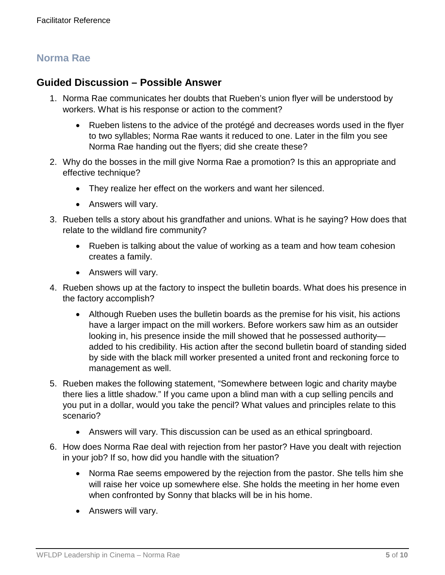## **Norma Rae**

### **Guided Discussion – Possible Answer**

- 1. Norma Rae communicates her doubts that Rueben's union flyer will be understood by workers. What is his response or action to the comment?
	- Rueben listens to the advice of the protégé and decreases words used in the flyer to two syllables; Norma Rae wants it reduced to one. Later in the film you see Norma Rae handing out the flyers; did she create these?
- 2. Why do the bosses in the mill give Norma Rae a promotion? Is this an appropriate and effective technique?
	- They realize her effect on the workers and want her silenced.
	- Answers will vary.
- 3. Rueben tells a story about his grandfather and unions. What is he saying? How does that relate to the wildland fire community?
	- Rueben is talking about the value of working as a team and how team cohesion creates a family.
	- Answers will vary.
- 4. Rueben shows up at the factory to inspect the bulletin boards. What does his presence in the factory accomplish?
	- Although Rueben uses the bulletin boards as the premise for his visit, his actions have a larger impact on the mill workers. Before workers saw him as an outsider looking in, his presence inside the mill showed that he possessed authority added to his credibility. His action after the second bulletin board of standing sided by side with the black mill worker presented a united front and reckoning force to management as well.
- 5. Rueben makes the following statement, "Somewhere between logic and charity maybe there lies a little shadow." If you came upon a blind man with a cup selling pencils and you put in a dollar, would you take the pencil? What values and principles relate to this scenario?
	- Answers will vary. This discussion can be used as an ethical springboard.
- 6. How does Norma Rae deal with rejection from her pastor? Have you dealt with rejection in your job? If so, how did you handle with the situation?
	- Norma Rae seems empowered by the rejection from the pastor. She tells him she will raise her voice up somewhere else. She holds the meeting in her home even when confronted by Sonny that blacks will be in his home.
	- Answers will vary.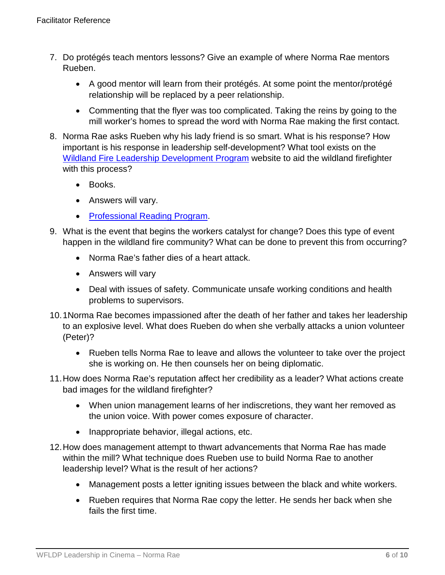- 7. Do protégés teach mentors lessons? Give an example of where Norma Rae mentors Rueben.
	- A good mentor will learn from their protégés. At some point the mentor/protégé relationship will be replaced by a peer relationship.
	- Commenting that the flyer was too complicated. Taking the reins by going to the mill worker's homes to spread the word with Norma Rae making the first contact.
- 8. Norma Rae asks Rueben why his lady friend is so smart. What is his response? How important is his response in leadership self-development? What tool exists on the [Wildland Fire Leadership Development Program](https://www.fireleadership.gov/index.html) website to aid the wildland firefighter with this process?
	- Books.
	- Answers will vary.
	- [Professional Reading Program.](https://www.fireleadership.gov/index.html)
- 9. What is the event that begins the workers catalyst for change? Does this type of event happen in the wildland fire community? What can be done to prevent this from occurring?
	- Norma Rae's father dies of a heart attack.
	- Answers will vary
	- Deal with issues of safety. Communicate unsafe working conditions and health problems to supervisors.
- 10.1Norma Rae becomes impassioned after the death of her father and takes her leadership to an explosive level. What does Rueben do when she verbally attacks a union volunteer (Peter)?
	- Rueben tells Norma Rae to leave and allows the volunteer to take over the project she is working on. He then counsels her on being diplomatic.
- 11.How does Norma Rae's reputation affect her credibility as a leader? What actions create bad images for the wildland firefighter?
	- When union management learns of her indiscretions, they want her removed as the union voice. With power comes exposure of character.
	- Inappropriate behavior, illegal actions, etc.
- 12.How does management attempt to thwart advancements that Norma Rae has made within the mill? What technique does Rueben use to build Norma Rae to another leadership level? What is the result of her actions?
	- Management posts a letter igniting issues between the black and white workers.
	- Rueben requires that Norma Rae copy the letter. He sends her back when she fails the first time.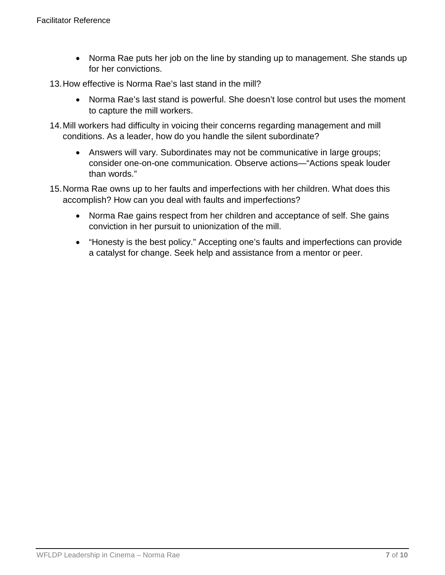- Norma Rae puts her job on the line by standing up to management. She stands up for her convictions.
- 13.How effective is Norma Rae's last stand in the mill?
	- Norma Rae's last stand is powerful. She doesn't lose control but uses the moment to capture the mill workers.
- 14.Mill workers had difficulty in voicing their concerns regarding management and mill conditions. As a leader, how do you handle the silent subordinate?
	- Answers will vary. Subordinates may not be communicative in large groups; consider one-on-one communication. Observe actions—"Actions speak louder than words."
- 15.Norma Rae owns up to her faults and imperfections with her children. What does this accomplish? How can you deal with faults and imperfections?
	- Norma Rae gains respect from her children and acceptance of self. She gains conviction in her pursuit to unionization of the mill.
	- "Honesty is the best policy." Accepting one's faults and imperfections can provide a catalyst for change. Seek help and assistance from a mentor or peer.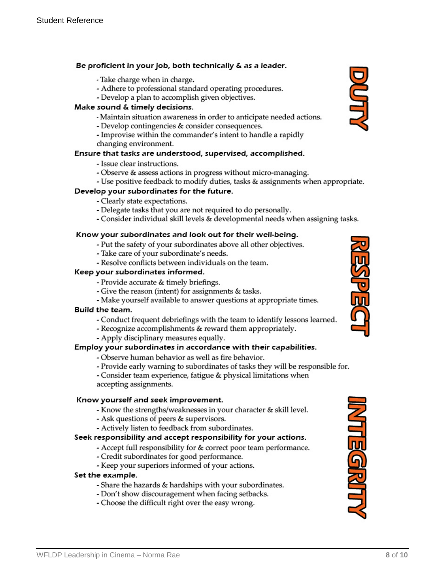#### Be proficient in your job, both technically & as a leader.

- Take charge when in charge.
- Adhere to professional standard operating procedures.
- Develop a plan to accomplish given objectives.

#### Make sound & timely decisions.

- Maintain situation awareness in order to anticipate needed actions.
- Develop contingencies & consider consequences.
- Improvise within the commander's intent to handle a rapidly changing environment.

#### Ensure that tasks are understood, supervised, accomplished.

- Issue clear instructions.
- Observe & assess actions in progress without micro-managing.
- Use positive feedback to modify duties, tasks & assignments when appropriate.

#### Develop your subordinates for the future.

- Clearly state expectations.
- Delegate tasks that you are not required to do personally.
- Consider individual skill levels & developmental needs when assigning tasks.

#### Know your subordinates and look out for their well-being.

- Put the safety of your subordinates above all other objectives.
- Take care of your subordinate's needs.
- Resolve conflicts between individuals on the team.

#### Keep your subordinates informed.

- Provide accurate & timely briefings.
- Give the reason (intent) for assignments & tasks.
- Make yourself available to answer questions at appropriate times.

#### Build the team.

- Conduct frequent debriefings with the team to identify lessons learned.
- Recognize accomplishments & reward them appropriately.
- Apply disciplinary measures equally.

#### Employ your subordinates in accordance with their capabilities.

- Observe human behavior as well as fire behavior.
- Provide early warning to subordinates of tasks they will be responsible for.
- Consider team experience, fatigue & physical limitations when accepting assignments.

#### Know yourself and seek improvement.

- Know the strengths/weaknesses in your character & skill level.
- Ask questions of peers & supervisors.
- Actively listen to feedback from subordinates.

#### Seek responsibility and accept responsibility for your actions.

- Accept full responsibility for & correct poor team performance.
- Credit subordinates for good performance.
- Keep your superiors informed of your actions.

#### Set the example.

- Share the hazards & hardships with your subordinates.
- Don't show discouragement when facing setbacks.
- Choose the difficult right over the easy wrong.





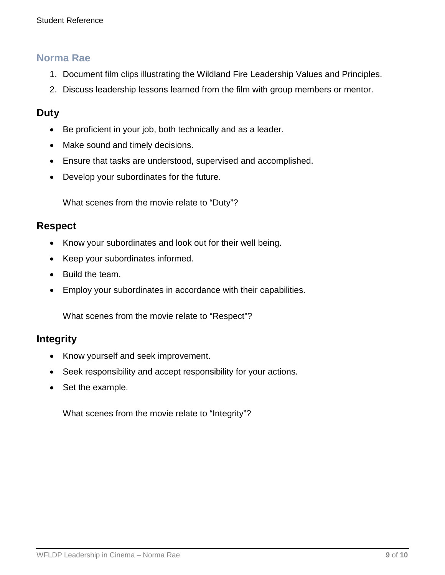### **Norma Rae**

- 1. Document film clips illustrating the Wildland Fire Leadership Values and Principles.
- 2. Discuss leadership lessons learned from the film with group members or mentor.

### **Duty**

- Be proficient in your job, both technically and as a leader.
- Make sound and timely decisions.
- Ensure that tasks are understood, supervised and accomplished.
- Develop your subordinates for the future.

What scenes from the movie relate to "Duty"?

### **Respect**

- Know your subordinates and look out for their well being.
- Keep your subordinates informed.
- Build the team.
- Employ your subordinates in accordance with their capabilities.

What scenes from the movie relate to "Respect"?

### **Integrity**

- Know yourself and seek improvement.
- Seek responsibility and accept responsibility for your actions.
- Set the example.

What scenes from the movie relate to "Integrity"?